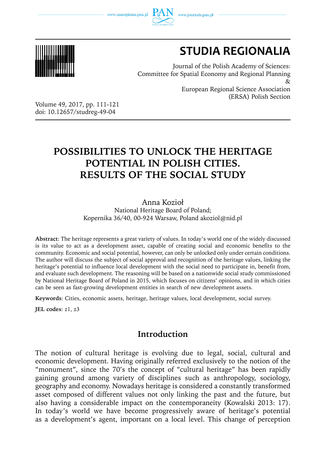www.czasopisma.pan.pl





# **STUDIA REGIONALIA**

(ERSA) Polish Section

Journal of the Polish Academy of Sciences: Committee for Spatial Economy and Regional Planning  $\chi$ European Regional Science Association

Volume 49, 2017, pp. 111-121 doi: 10.12657/studreg-49-04

## **POSSIBILITIES TO UNLOCK THE HERITAGE POTENTIAL IN POLISH CITIES. RESULTS OF THE SOCIAL STUDY**

Anna Kozioł

National Heritage Board of Poland; Kopernika 36/40, 00-924 Warsaw, Poland akoziol@nid.pl

**Abstract**: The heritage represents a great variety of values. In today's world one of the widely discussed is its value to act as a development asset, capable of creating social and economic benefits to the community. Economic and social potential, however, can only be unlocked only under certain conditions. The author will discuss the subject of social approval and recognition of the heritage values, linking the heritage's potential to influence local development with the social need to participate in, benefit from, and evaluate such development. The reasoning will be based on a nationwide social study commissioned by National Heritage Board of Poland in 2015, which focuses on citizens' opinions, and in which cities can be seen as fast-growing development entities in search of new development assets.

**Keywords**: Cities, economic assets, heritage, heritage values, local development, social survey.

**JEL codes**: z1, z3

## **Introduction**

The notion of cultural heritage is evolving due to legal, social, cultural and economic development. Having originally referred exclusively to the notion of the "monument", since the 70's the concept of "cultural heritage" has been rapidly gaining ground among variety of disciplines such as anthropology, sociology, geography and economy. Nowadays heritage is considered a constantly transformed asset composed of different values not only linking the past and the future, but also having a considerable impact on the contemporaneity (Kowalski 2013: 17). In today's world we have become progressively aware of heritage's potential as a development's agent, important on a local level. This change of perception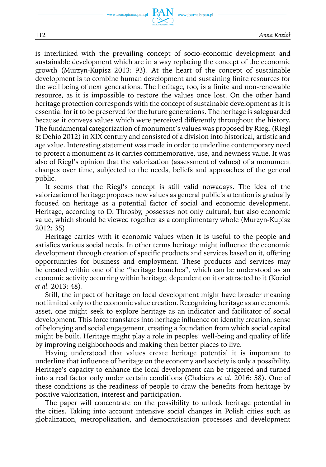is interlinked with the prevailing concept of socio-economic development and sustainable development which are in a way replacing the concept of the economic growth (Murzyn-Kupisz 2013: 93). At the heart of the concept of sustainable development is to combine human development and sustaining finite resources for the well being of next generations. The heritage, too, is a finite and non-renewable resource, as it is impossible to restore the values once lost. On the other hand heritage protection corresponds with the concept of sustainable development as it is essential for it to be preserved for the future generations. The heritage is safeguarded because it conveys values which were perceived differently throughout the history. The fundamental categorization of monument's values was proposed by Riegl (Riegl & Dehio 2012) in XIX century and consisted of a division into historical, artistic and age value. Interesting statement was made in order to underline contemporary need to protect a monument as it carries commemorative, use, and newness value. It was also of Riegl's opinion that the valorization (assessment of values) of a monument changes over time, subjected to the needs, beliefs and approaches of the general public.

It seems that the Riegl's concept is still valid nowadays. The idea of the valorization of heritage proposes new values as general public's attention is gradually focused on heritage as a potential factor of social and economic development. Heritage, according to D. Throsby, possesses not only cultural, but also economic value, which should be viewed together as a complimentary whole (Murzyn-Kupisz 2012: 35).

Heritage carries with it economic values when it is useful to the people and satisfies various social needs. In other terms heritage might influence the economic development through creation of specific products and services based on it, offering opportunities for business and employment. These products and services may be created within one of the "heritage branches", which can be understood as an economic activity occurring within heritage, dependent on it or attracted to it (Kozioł *et al.* 2013: 48).

Still, the impact of heritage on local development might have broader meaning not limited only to the economic value creation. Recognizing heritage as an economic asset, one might seek to explore heritage as an indicator and facilitator of social development. This force translates into heritage influence on identity creation, sense of belonging and social engagement, creating a foundation from which social capital might be built. Heritage might play a role in peoples' well-being and quality of life by improving neighborhoods and making then better places to live.

Having understood that values create heritage potential it is important to underline that influence of heritage on the economy and society is only a possibility. Heritage's capacity to enhance the local development can be triggered and turned into a real factor only under certain conditions (Chabiera *et al.* 2016: 58). One of these conditions is the readiness of people to draw the benefits from heritage by positive valorization, interest and participation.

The paper will concentrate on the possibility to unlock heritage potential in the cities. Taking into account intensive social changes in Polish cities such as globalization, metropolization, and democratisation processes and development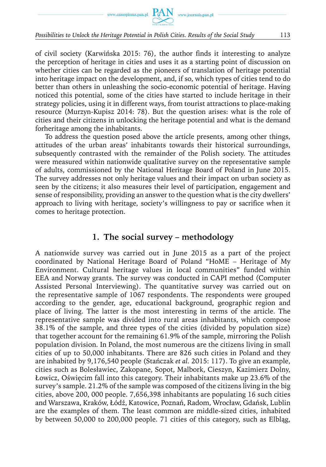

#### *Possibilities to Unlock the Heritage Potential in Polish Cities. Results of the Social Study* 113

of civil society (Karwińska 2015: 76), the author finds it interesting to analyze the perception of heritage in cities and uses it as a starting point of discussion on whether cities can be regarded as the pioneers of translation of heritage potential into heritage impact on the development, and, if so, which types of cities tend to do better than others in unleashing the socio-economic potential of heritage. Having noticed this potential, some of the cities have started to include heritage in their strategy policies, using it in different ways, from tourist attractions to place-making resource (Murzyn-Kupisz 2014: 78). But the question arises: what is the role of cities and their citizens in unlocking the heritage potential and what is the demand forheritage among the inhabitants.

To address the question posed above the article presents, among other things, attitudes of the urban areas' inhabitants towards their historical surroundings, subsequently contrasted with the remainder of the Polish society. The attitudes were measured within nationwide qualitative survey on the representative sample of adults, commissioned by the National Heritage Board of Poland in June 2015. The survey addresses not only heritage values and their impact on urban society as seen by the citizens; it also measures their level of participation, engagement and sense of responsibility, providing an answer to the question what is the city dwellers' approach to living with heritage, society's willingness to pay or sacrifice when it comes to heritage protection.

## **1. The social survey – methodology**

A nationwide survey was carried out in June 2015 as a part of the project coordinated by National Heritage Board of Poland "HoME – Heritage of My Environment. Cultural heritage values in local communities" funded within EEA and Norway grants. The survey was conducted in CAPI method (Computer Assisted Personal Interviewing). The quantitative survey was carried out on the representative sample of 1067 respondents. The respondents were grouped according to the gender, age, educational background, geographic region and place of living. The latter is the most interesting in terms of the article. The representative sample was divided into rural areas inhabitants, which compose 38.1% of the sample, and three types of the cities (divided by population size) that together account for the remaining 61.9% of the sample, mirroring the Polish population division. In Poland, the most numerous are the citizens living in small cities of up to 50,000 inhabitants. There are 826 such cities in Poland and they are inhabited by 9,176,540 people (Stańczak *et al.* 2015: 117). To give an example, cities such as Bolesławiec, Zakopane, Sopot, Malbork, Cieszyn, Kazimierz Dolny, Łowicz, Oświęcim fall into this category. Their inhabitants make up 23.6% of the survey's sample. 21.2% of the sample was composed of the citizens living in the big cities, above 200, 000 people. 7,656,398 inhabitants are populating 16 such cities and Warszawa, Kraków, Łódź, Katowice, Poznań, Radom, Wrocław, Gdańsk, Lublin are the examples of them. The least common are middle-sized cities, inhabited by between 50,000 to 200,000 people. 71 cities of this category, such as Elbląg,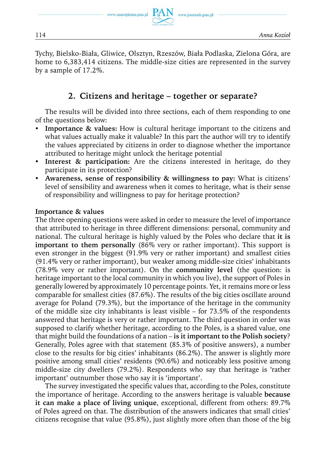www.journals.pan.pl

Tychy, Bielsko-Biała, Gliwice, Olsztyn, Rzeszów, Biała Podlaska, Zielona Góra, are home to 6,383,414 citizens. The middle-size cities are represented in the survey by a sample of 17.2%.

## **2. Citizens and heritage – together or separate?**

The results will be divided into three sections, each of them responding to one of the questions below:

- **Importance & values:** How is cultural heritage important to the citizens and what values actually make it valuable? In this part the author will try to identify the values appreciated by citizens in order to diagnose whether the importance attributed to heritage might unlock the heritage potential
- **Interest & participation:** Are the citizens interested in heritage, do they participate in its protection?
- Awareness, sense of responsibility & willingness to pay: What is citizens' level of sensibility and awareness when it comes to heritage, what is their sense of responsibility and willingness to pay for heritage protection?

#### **Importance & values**

The three opening questions were asked in order to measure the level of importance that attributed to heritage in three different dimensions: personal, community and national. The cultural heritage is highly valued by the Poles who declare that **it is important to them personally** (86% very or rather important). This support is even stronger in the biggest (91.9% very or rather important) and smallest cities (91.4% very or rather important), but weaker among middle-size cities' inhabitants (78.9% very or rather important). On the **community level** (the question: is heritage important to the local community in which you live), the support of Poles in generally lowered by approximately 10 percentage points. Yet, it remains more or less comparable for smallest cities (87.6%). The results of the big cities oscillate around average for Poland (79.3%), but the importance of the heritage in the community of the middle size city inhabitants is least visible – for 73.5% of the respondents answered that heritage is very or rather important. The third question in order was supposed to clarify whether heritage, according to the Poles, is a shared value, one that might build the foundations of a nation – **is it important to the Polish society**? Generally, Poles agree with that statement (85.3% of positive answers), a number close to the results for big cities' inhabitants (86.2%). The answer is slightly more positive among small cities' residents (90.6%) and noticeably less positive among middle-size city dwellers (79.2%). Respondents who say that heritage is 'rather important' outnumber those who say it is 'important'.

The survey investigated the specific values that, according to the Poles, constitute the importance of heritage. According to the answers heritage is valuable **because it can make a place of living unique**, exceptional, different from others: 89.7% of Poles agreed on that. The distribution of the answers indicates that small cities' citizens recognise that value (95.8%), just slightly more often than those of the big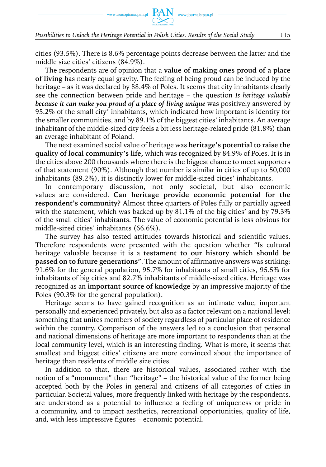www.czasopisma.pan.pl  $PAN$  www.journals.pan.pl

cities (93.5%). There is 8.6% percentage points decrease between the latter and the middle size cities' citizens (84.9%).

The respondents are of opinion that a **value of making ones proud of a place of living** has nearly equal gravity. The feeling of being proud can be induced by the heritage – as it was declared by 88.4% of Poles. It seems that city inhabitants clearly see the connection between pride and heritage – the question *Is heritage valuable because it can make you proud of a place of living unique* was positively answered by 95.2% of the small city' inhabitants, which indicated how important is identity for the smaller communities, and by 89.1% of the biggest cities' inhabitants. An average inhabitant of the middle-sized city feels a bit less heritage-related pride (81.8%) than an average inhabitant of Poland.

The next examined social value of heritage was **heritage's potential to raise the quality of local community's life,** which was recognized by 84.9% of Poles. It is in the cities above 200 thousands where there is the biggest chance to meet supporters of that statement (90%). Although that number is similar in cities of up to 50,000 inhabitants (89.2%), it is distinctly lower for middle-sized cities' inhabitants.

In contemporary discussion, not only societal, but also economic values are considered. **Can heritage provide economic potential for the respondent's community?** Almost three quarters of Poles fully or partially agreed with the statement, which was backed up by 81.1% of the big cities' and by 79.3% of the small cities' inhabitants. The value of economic potential is less obvious for middle-sized cities' inhabitants (66.6%).

The survey has also tested attitudes towards historical and scientific values. Therefore respondents were presented with the question whether "Is cultural heritage valuable because it is a **testament to our history which should be passed on to future generations**". The amount of affirmative answers was striking: 91.6% for the general population, 95.7% for inhabitants of small cities, 95.5% for inhabitants of big cities and 82.7% inhabitants of middle-sized cities. Heritage was recognized as an **important source of knowledge** by an impressive majority of the Poles (90.3% for the general population).

Heritage seems to have gained recognition as an intimate value, important personally and experienced privately, but also as a factor relevant on a national level: something that unites members of society regardless of particular place of residence within the country. Comparison of the answers led to a conclusion that personal and national dimensions of heritage are more important to respondents than at the local community level, which is an interesting finding. What is more, it seems that smallest and biggest cities' citizens are more convinced about the importance of heritage than residents of middle size cities.

In addition to that, there are historical values, associated rather with the notion of a "monument" than "heritage" – the historical value of the former being accepted both by the Poles in general and citizens of all categories of cities in particular. Societal values, more frequently linked with heritage by the respondents, are understood as a potential to influence a feeling of uniqueness or pride in a community, and to impact aesthetics, recreational opportunities, quality of life, and, with less impressive figures – economic potential.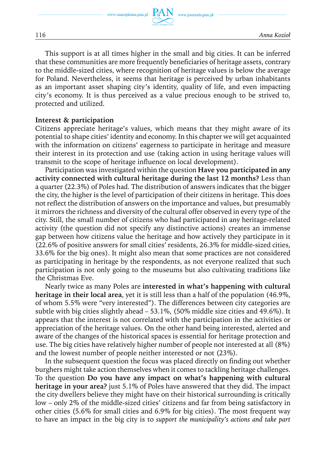www.czasopisma.pan.pl

www.journals.pan.pl

This support is at all times higher in the small and big cities. It can be inferred that these communities are more frequently beneficiaries of heritage assets, contrary to the middle-sized cities, where recognition of heritage values is below the average for Poland. Nevertheless, it seems that heritage is perceived by urban inhabitants as an important asset shaping city's identity, quality of life, and even impacting city's economy. It is thus perceived as a value precious enough to be strived to, protected and utilized.

#### **Interest & participation**

Citizens appreciate heritage's values, which means that they might aware of its potential to shape cities' identity and economy. In this chapter we will get acquainted with the information on citizens' eagerness to participate in heritage and measure their interest in its protection and use (taking action in using heritage values will transmit to the scope of heritage influence on local development).

Participation was investigated within the question **Have you participated in any activity connected with cultural heritage during the last 12 months?** Less than a quarter (22.3%) of Poles had. The distribution of answers indicates that the bigger the city, the higher is the level of participation of their citizens in heritage. This does not reflect the distribution of answers on the importance and values, but presumably it mirrors the richness and diversity of the cultural offer observed in every type of the city. Still, the small number of citizens who had participated in any heritage-related activity (the question did not specify any distinctive actions) creates an immense gap between how citizens value the heritage and how actively they participate in it (22.6% of positive answers for small cities' residents, 26.3% for middle-sized cities, 33.6% for the big ones). It might also mean that some practices are not considered as participating in heritage by the respondents, as not everyone realized that such participation is not only going to the museums but also cultivating traditions like the Christmas Eve.

Nearly twice as many Poles are **interested in what's happening with cultural heritage in their local area**, yet it is still less than a half of the population (46.9%, of whom 5.5% were "very interested"). The differences between city categories are subtle with big cities slightly ahead – 53.1%, (50% middle size cities and 49.6%). It appears that the interest is not correlated with the participation in the activities or appreciation of the heritage values. On the other hand being interested, alerted and aware of the changes of the historical spaces is essential for heritage protection and use. The big cities have relatively higher number of people not interested at all (8%) and the lowest number of people neither interested or not (23%).

In the subsequent question the focus was placed directly on finding out whether burghers might take action themselves when it comes to tackling heritage challenges. To the question **Do you have any impact on what's happening with cultural heritage in your area?** just 5.1% of Poles have answered that they did. The impact the city dwellers believe they might have on their historical surrounding is critically low – only 2% of the middle-sized cities' citizens and far from being satisfactory in other cities (5.6% for small cities and 6.9% for big cities). The most frequent way to have an impact in the big city is to *support the municipality's actions and take part*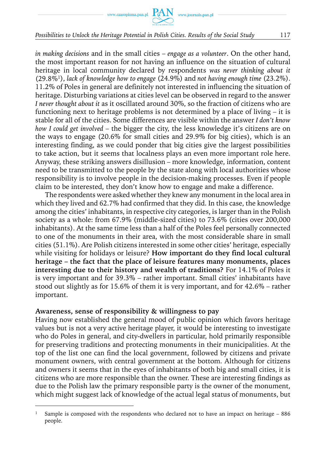

#### *Possibilities to Unlock the Heritage Potential in Polish Cities. Results of the Social Study* 117

*in making decisions* and in the small cities – *engage as a volunteer*. On the other hand, the most important reason for not having an influence on the situation of cultural heritage in local community declared by respondents *was never thinking about it* (29.8%1), *lack of knowledge how to engage* (24.9%) and *not having enough time* (23.2%). 11.2% of Poles in general are definitely not interested in influencing the situation of heritage. Disturbing variations at cities level can be observed in regard to the answer *I never thought about it* as it oscillated around 30%, so the fraction of citizens who are functioning next to heritage problems is not determined by a place of living – it is stable for all of the cities. Some differences are visible within the answer *I don't know how I could get involved* – the bigger the city, the less knowledge it's citizens are on the ways to engage (20.6% for small cities and 29.9% for big cities), which is an interesting finding, as we could ponder that big cities give the largest possibilities to take action, but it seems that localness plays an even more important role here. Anyway, these striking answers disillusion – more knowledge, information, content need to be transmitted to the people by the state along with local authorities whose responsibility is to involve people in the decision-making processes. Even if people claim to be interested, they don't know how to engage and make a difference.

The respondents were asked whether they knew any monument in the local area in which they lived and 62.7% had confirmed that they did. In this case, the knowledge among the cities' inhabitants, in respective city categories, is larger than in the Polish society as a whole: from 67.9% (middle-sized cities) to 73.6% (cities over 200,000 inhabitants). At the same time less than a half of the Poles feel personally connected to one of the monuments in their area, with the most considerable share in small cities (51.1%). Are Polish citizens interested in some other cities' heritage, especially while visiting for holidays or leisure? **How important do they find local cultural heritage – the fact that the place of leisure features many monuments, places interesting due to their history and wealth of traditions?** For 14.1% of Poles it is very important and for 39.3% – rather important. Small cities' inhabitants have stood out slightly as for 15.6% of them it is very important, and for 42.6% – rather important.

#### **Awareness, sense of responsibility & willingness to pay**

Having now established the general mood of public opinion which favors heritage values but is not a very active heritage player, it would be interesting to investigate who do Poles in general, and city-dwellers in particular, hold primarily responsible for preserving traditions and protecting monuments in their municipalities. At the top of the list one can find the local government, followed by citizens and private monument owners, with central government at the bottom. Although for citizens and owners it seems that in the eyes of inhabitants of both big and small cities, it is citizens who are more responsible than the owner. These are interesting findings as due to the Polish law the primary responsible party is the owner of the monument, which might suggest lack of knowledge of the actual legal status of monuments, but

<sup>1</sup> Sample is composed with the respondents who declared not to have an impact on heritage – 886 people.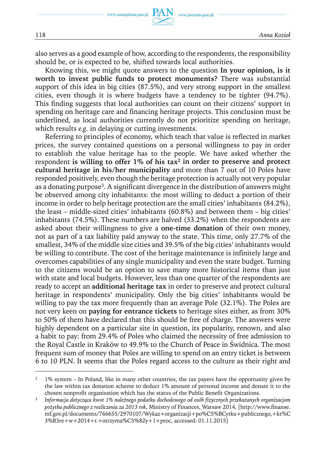also serves as a good example of how, according to the respondents, the responsibility should be, or is expected to be, shifted towards local authorities.

Knowing this, we might quote answers to the question **In your opinion, is it worth to invest public funds to protect monuments?** There was substantial support of this idea in big cities (87.5%), and very strong support in the smallest cities, even though it is where budgets have a tendency to be tighter (94.7%). This finding suggests that local authorities can count on their citizens' support in spending on heritage care and financing heritage projects. This conclusion must be underlined, as local authorities currently do not prioritize spending on heritage, which results *e.g.* in delaying or cutting investments.

Referring to principles of economy, which teach that value is reflected in market prices, the survey contained questions on a personal willingness to pay in order to establish the value heritage has to the people. We have asked whether the respondent **is willing to offer 1% of his tax2 in order to preserve and protect cultural heritage in his/her municipality** and more than 7 out of 10 Poles have responded positively, even though the heritage protection is actually not very popular as a donating purpose3. A significant divergence in the distribution of answers might be observed among city inhabitants: the most willing to deduct a portion of their income in order to help heritage protection are the small cities' inhabitants (84.2%), the least – middle-sized cities' inhabitants (60.8%) and between them – big cities' inhabitants (74.5%). These numbers are halved (33.2%) when the respondents are asked about their willingness to give a **one-time donation** of their own money, not as part of a tax liability paid anyway to the state. This time, only 27.7% of the smallest, 34% of the middle size cities and 39.5% of the big cities' inhabitants would be willing to contribute. The cost of the heritage maintenance is infinitely large and overcomes capabilities of any single municipality and even the state budget. Turning to the citizens would be an option to save many more historical items than just with state and local budgets. However, less than one quarter of the respondents are ready to accept an **additional heritage tax** in order to preserve and protect cultural heritage in respondents' municipality. Only the big cities' inhabitants would be willing to pay the tax more frequently than an average Pole (32.1%). The Poles are not very keen on **paying for entrance tickets** to heritage sites either, as from 30% to 50% of them have declared that this should be free of charge. The answers were highly dependent on a particular site in question, its popularity, renown, and also a habit to pay: from 29.4% of Poles who claimed the necessity of free admission to the Royal Castle in Kraków to 49.9% to the Church of Peace in Świdnica. The most frequent sum of money that Poles are willing to spend on an entry ticket is between 6 to 10 PLN. It seems that the Poles regard access to the culture as their right and

<sup>&</sup>lt;sup>2</sup> 1% system – In Poland, like in many other countries, the tax payers have the opportunity given by the law within tax donation scheme to deduct 1% amount of personal income and donate it to the chosen nonprofit organisation which has the status of the Public Benefit Organizations.

<sup>3</sup> *Informacja dotycząca kwot 1% należnego podatku dochodowego od osób fizycznych przekazanych organizacjom pożytku publicznego z rozliczenia za 2013 rok*, Ministry of Finances, Warsaw 2014, [http://www.finanse. mf.gov.pl/documents/766655/2970107/Wykaz+organizacji+po%C5%BCytku+publicznego,+kt%C 3%B3re+w+2014+r.+otrzyma%C5%82y+1+proc, accessed: 01.11.2015]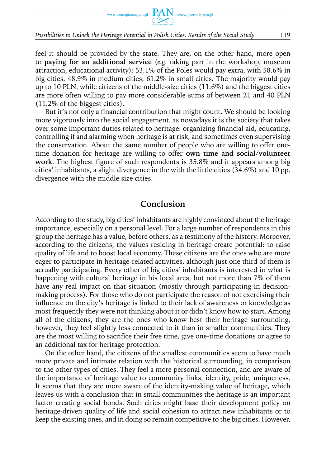

#### *Possibilities to Unlock the Heritage Potential in Polish Cities. Results of the Social Study* 119

feel it should be provided by the state. They are, on the other hand, more open to **paying for an additional service** (*e.g.* taking part in the workshop, museum attraction, educational activity): 53.1% of the Poles would pay extra, with 58.6% in big cities, 48.9% in medium cities, 61.2% in small cities. The majority would pay up to 10 PLN, while citizens of the middle-size cities (11.6%) and the biggest cities are more often willing to pay more considerable sums of between 21 and 40 PLN (11.2% of the biggest cities).

But it's not only a financial contribution that might count. We should be looking more vigorously into the social engagement, as nowadays it is the society that takes over some important duties related to heritage: organizing financial aid, educating, controlling if and alarming when heritage is at risk, and sometimes even supervising the conservation. About the same number of people who are willing to offer onetime donation for heritage are willing to offer **own time and social/volunteer work**. The highest figure of such respondents is 35.8% and it appears among big cities' inhabitants, a slight divergence in the with the little cities (34.6%) and 10 pp. divergence with the middle size cities.

## **Conclusion**

According to the study, big cities' inhabitants are highly convinced about the heritage importance, especially on a personal level. For a large number of respondents in this group the heritage has a value, before others, as a testimony of the history. Moreover, according to the citizens, the values residing in heritage create potential: to raise quality of life and to boost local economy. These citizens are the ones who are more eager to participate in heritage-related activities, although just one third of them is actually participating. Every other of big cities' inhabitants is interested in what is happening with cultural heritage in his local area, but not more than 7% of them have any real impact on that situation (mostly through participating in decisionmaking process). For those who do not participate the reason of not exercising their influence on the city's heritage is linked to their lack of awareness or knowledge as most frequently they were not thinking about it or didn't know how to start. Among all of the citizens, they are the ones who know best their heritage surrounding, however, they feel slightly less connected to it than in smaller communities. They are the most willing to sacrifice their free time, give one-time donations or agree to an additional tax for heritage protection.

On the other hand, the citizens of the smallest communities seem to have much more private and intimate relation with the historical surrounding, in comparison to the other types of cities. They feel a more personal connection, and are aware of the importance of heritage value to community links, identity, pride, uniqueness. It seems that they are more aware of the identity-making value of heritage, which leaves us with a conclusion that in small communities the heritage is an important factor creating social bonds. Such cities might base their development policy on heritage-driven quality of life and social cohesion to attract new inhabitants or to keep the existing ones, and in doing so remain competitive to the big cities. However,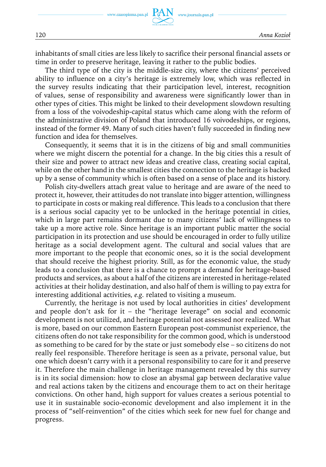inhabitants of small cities are less likely to sacrifice their personal financial assets or time in order to preserve heritage, leaving it rather to the public bodies.

The third type of the city is the middle-size city, where the citizens' perceived ability to influence on a city's heritage is extremely low, which was reflected in the survey results indicating that their participation level, interest, recognition of values, sense of responsibility and awareness were significantly lower than in other types of cities. This might be linked to their development slowdown resulting from a loss of the voivodeship-capital status which came along with the reform of the administrative division of Poland that introduced 16 voivodeships, or regions, instead of the former 49. Many of such cities haven't fully succeeded in finding new function and idea for themselves.

Consequently, it seems that it is in the citizens of big and small communities where we might discern the potential for a change. In the big cities this a result of their size and power to attract new ideas and creative class, creating social capital, while on the other hand in the smallest cities the connection to the heritage is backed up by a sense of community which is often based on a sense of place and its history.

Polish city-dwellers attach great value to heritage and are aware of the need to protect it, however, their attitudes do not translate into bigger attention, willingness to participate in costs or making real difference. This leads to a conclusion that there is a serious social capacity yet to be unlocked in the heritage potential in cities, which in large part remains dormant due to many citizens' lack of willingness to take up a more active role. Since heritage is an important public matter the social participation in its protection and use should be encouraged in order to fully utilize heritage as a social development agent. The cultural and social values that are more important to the people that economic ones, so it is the social development that should receive the highest priority. Still, as for the economic value, the study leads to a conclusion that there is a chance to prompt a demand for heritage-based products and services, as about a half of the citizens are interested in heritage-related activities at their holiday destination, and also half of them is willing to pay extra for interesting additional activities*, e.g.* related to visiting a museum.

Currently, the heritage is not used by local authorities in cities' development and people don't ask for it – the "heritage leverage" on social and economic development is not utilized, and heritage potential not assessed nor realized. What is more, based on our common Eastern European post-communist experience, the citizens often do not take responsibility for the common good, which is understood as something to be cared for by the state or just somebody else – so citizens do not really feel responsible. Therefore heritage is seen as a private, personal value, but one which doesn't carry with it a personal responsibility to care for it and preserve it. Therefore the main challenge in heritage management revealed by this survey is in its social dimension: how to close an abysmal gap between declarative value and real actions taken by the citizens and encourage them to act on their heritage convictions. On other hand, high support for values creates a serious potential to use it in sustainable socio-economic development and also implement it in the process of "self-reinvention" of the cities which seek for new fuel for change and progress.